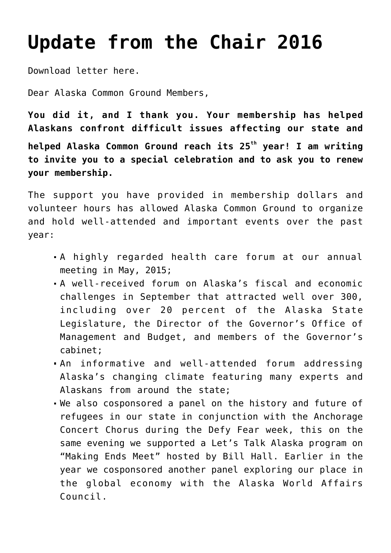## **[Update from the Chair 2016](https://akcommonground.org/update-from-the-chair-2016/)**

[Download letter here.](https://akcommonground.org/wp-content/uploads/2016/05/Member-letter-April-2016.pdf)

Dear Alaska Common Ground Members,

**You did it, and I thank you. Your membership has helped Alaskans confront difficult issues affecting our state and helped Alaska Common Ground reach its 25th year! I am writing to invite you to a special celebration and to ask you to renew your membership.**

The support you have provided in membership dollars and volunteer hours has allowed Alaska Common Ground to organize and hold well-attended and important events over the past year:

- A highly regarded health care forum at our annual meeting in May, 2015;
- A well-received forum on Alaska's fiscal and economic challenges in September that attracted well over 300, including over 20 percent of the Alaska State Legislature, the Director of the Governor's Office of Management and Budget, and members of the Governor's cabinet;
- An informative and well-attended forum addressing Alaska's changing climate featuring many experts and Alaskans from around the state;
- We also cosponsored a panel on the history and future of refugees in our state in conjunction with the Anchorage Concert Chorus during the Defy Fear week, this on the same evening we supported a Let's Talk Alaska program on "Making Ends Meet" hosted by Bill Hall. Earlier in the year we cosponsored another panel exploring our place in the global economy with the Alaska World Affairs Council.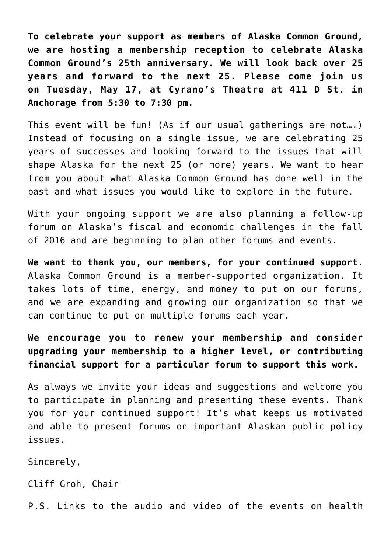**To celebrate your support as members of Alaska Common Ground, we are hosting a membership reception to celebrate Alaska Common Ground's 25th anniversary. We will look back over 25 years and forward to the next 25. Please come join us on Tuesday, May 17, at Cyrano's Theatre at 411 D St. in Anchorage from 5:30 to 7:30 pm.** 

This event will be fun! (As if our usual gatherings are not….) Instead of focusing on a single issue, we are celebrating 25 years of successes and looking forward to the issues that will shape Alaska for the next 25 (or more) years. We want to hear from you about what Alaska Common Ground has done well in the past and what issues you would like to explore in the future.

With your ongoing support we are also planning a follow-up forum on Alaska's fiscal and economic challenges in the fall of 2016 and are beginning to plan other forums and events.

**We want to thank you, our members, for your continued support**. Alaska Common Ground is a member-supported organization. It takes lots of time, energy, and money to put on our forums, and we are expanding and growing our organization so that we can continue to put on multiple forums each year.

**We encourage you to renew your membership and consider upgrading your membership to a higher level, or contributing financial support for a particular forum to support this work.**

As always we invite your ideas and suggestions and welcome you to participate in planning and presenting these events. Thank you for your continued support! It's what keeps us motivated and able to present forums on important Alaskan public policy issues.

Sincerely,

Cliff Groh, Chair

P.S. Links to the audio and video of the events on health